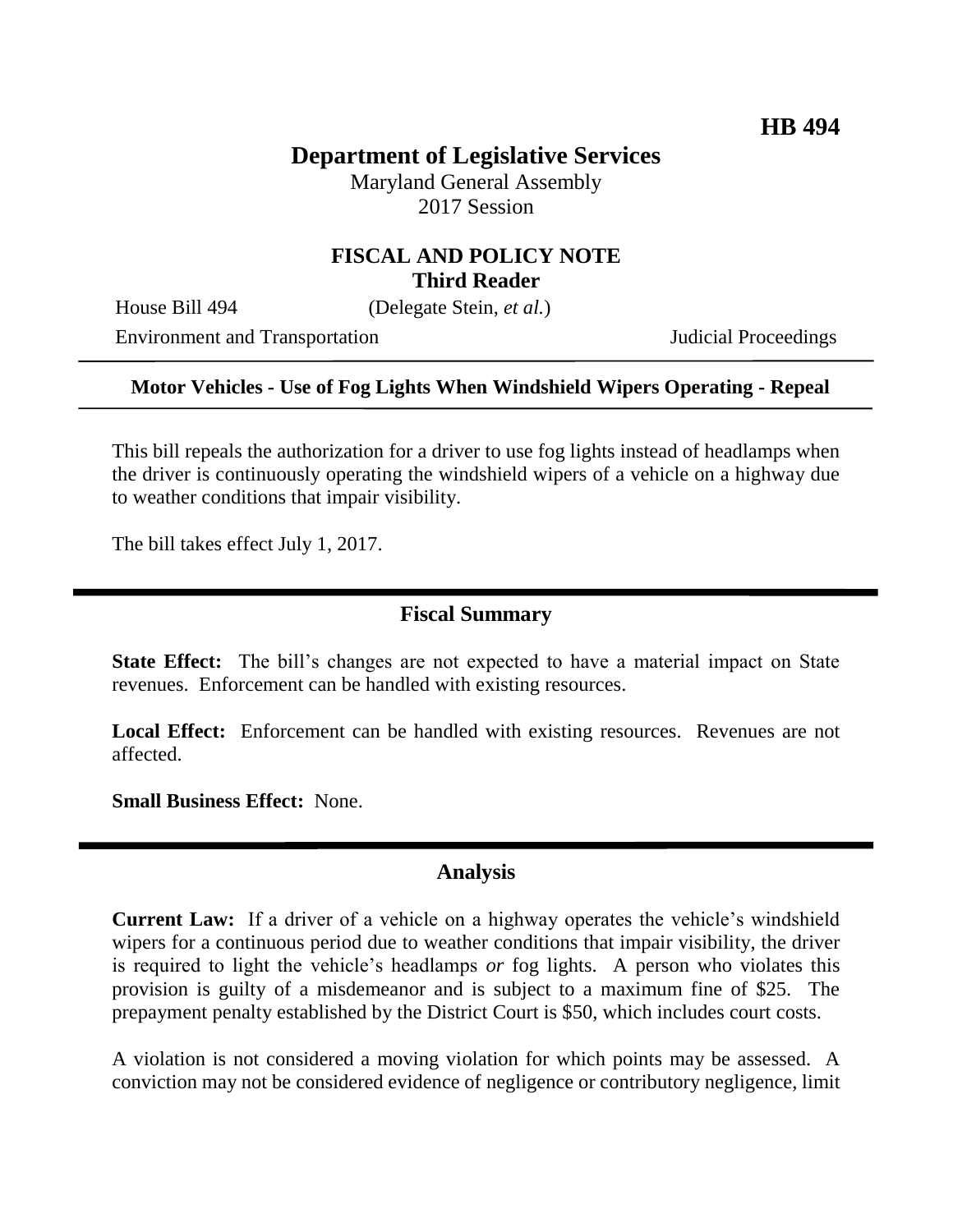# **Department of Legislative Services**

Maryland General Assembly 2017 Session

### **FISCAL AND POLICY NOTE Third Reader**

House Bill 494 (Delegate Stein, *et al.*)

Environment and Transportation **Internal Acceptual Proceedings** 

#### **Motor Vehicles - Use of Fog Lights When Windshield Wipers Operating - Repeal**

This bill repeals the authorization for a driver to use fog lights instead of headlamps when the driver is continuously operating the windshield wipers of a vehicle on a highway due to weather conditions that impair visibility.

The bill takes effect July 1, 2017.

#### **Fiscal Summary**

**State Effect:** The bill's changes are not expected to have a material impact on State revenues. Enforcement can be handled with existing resources.

Local Effect: Enforcement can be handled with existing resources. Revenues are not affected.

**Small Business Effect:** None.

#### **Analysis**

**Current Law:** If a driver of a vehicle on a highway operates the vehicle's windshield wipers for a continuous period due to weather conditions that impair visibility, the driver is required to light the vehicle's headlamps *or* fog lights. A person who violates this provision is guilty of a misdemeanor and is subject to a maximum fine of \$25. The prepayment penalty established by the District Court is \$50, which includes court costs.

A violation is not considered a moving violation for which points may be assessed. A conviction may not be considered evidence of negligence or contributory negligence, limit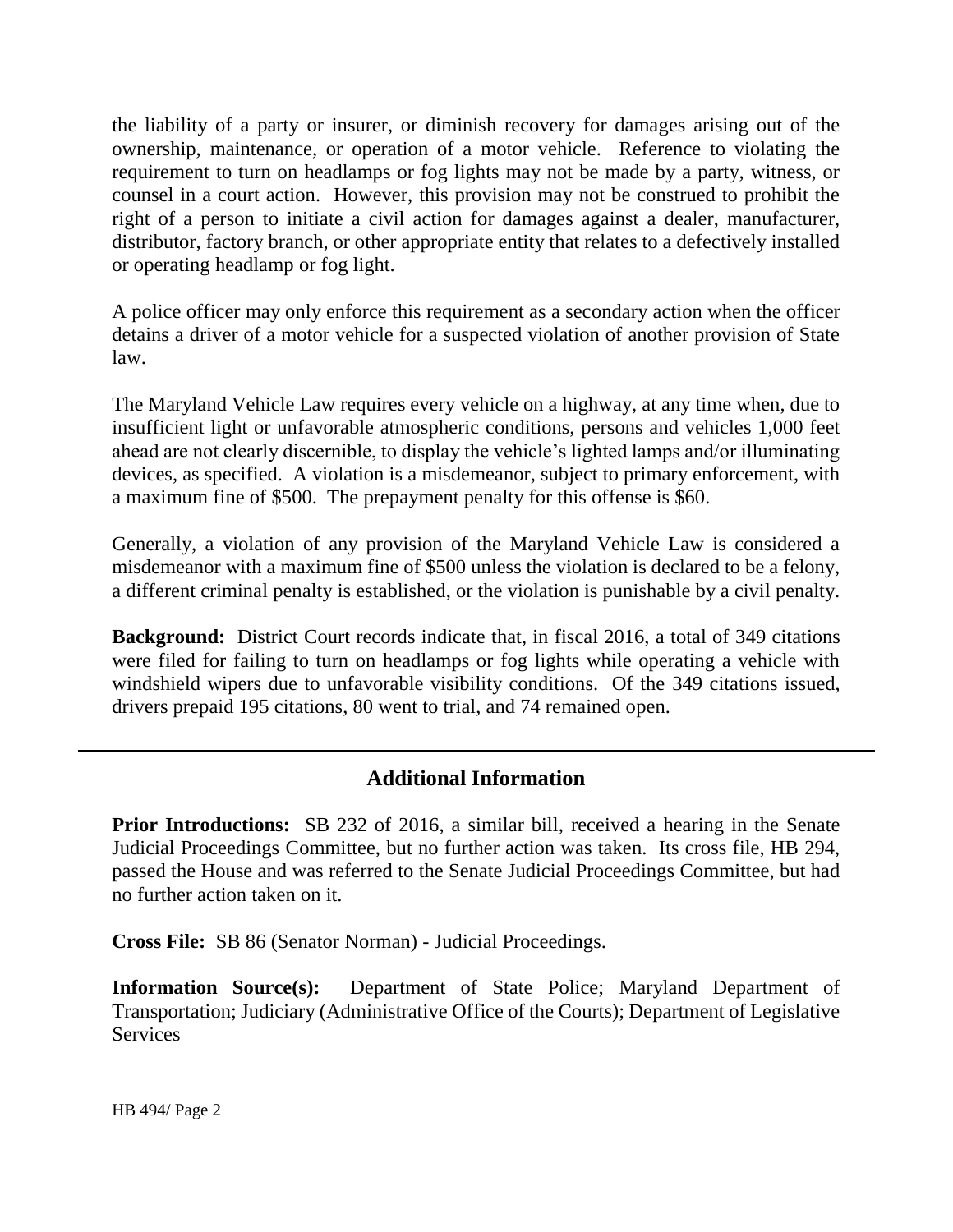the liability of a party or insurer, or diminish recovery for damages arising out of the ownership, maintenance, or operation of a motor vehicle. Reference to violating the requirement to turn on headlamps or fog lights may not be made by a party, witness, or counsel in a court action. However, this provision may not be construed to prohibit the right of a person to initiate a civil action for damages against a dealer, manufacturer, distributor, factory branch, or other appropriate entity that relates to a defectively installed or operating headlamp or fog light.

A police officer may only enforce this requirement as a secondary action when the officer detains a driver of a motor vehicle for a suspected violation of another provision of State law.

The Maryland Vehicle Law requires every vehicle on a highway, at any time when, due to insufficient light or unfavorable atmospheric conditions, persons and vehicles 1,000 feet ahead are not clearly discernible, to display the vehicle's lighted lamps and/or illuminating devices, as specified. A violation is a misdemeanor, subject to primary enforcement, with a maximum fine of \$500. The prepayment penalty for this offense is \$60.

Generally, a violation of any provision of the Maryland Vehicle Law is considered a misdemeanor with a maximum fine of \$500 unless the violation is declared to be a felony, a different criminal penalty is established, or the violation is punishable by a civil penalty.

**Background:** District Court records indicate that, in fiscal 2016, a total of 349 citations were filed for failing to turn on headlamps or fog lights while operating a vehicle with windshield wipers due to unfavorable visibility conditions. Of the 349 citations issued, drivers prepaid 195 citations, 80 went to trial, and 74 remained open.

## **Additional Information**

**Prior Introductions:** SB 232 of 2016, a similar bill, received a hearing in the Senate Judicial Proceedings Committee, but no further action was taken. Its cross file, HB 294, passed the House and was referred to the Senate Judicial Proceedings Committee, but had no further action taken on it.

**Cross File:** SB 86 (Senator Norman) - Judicial Proceedings.

**Information Source(s):** Department of State Police; Maryland Department of Transportation; Judiciary (Administrative Office of the Courts); Department of Legislative **Services**